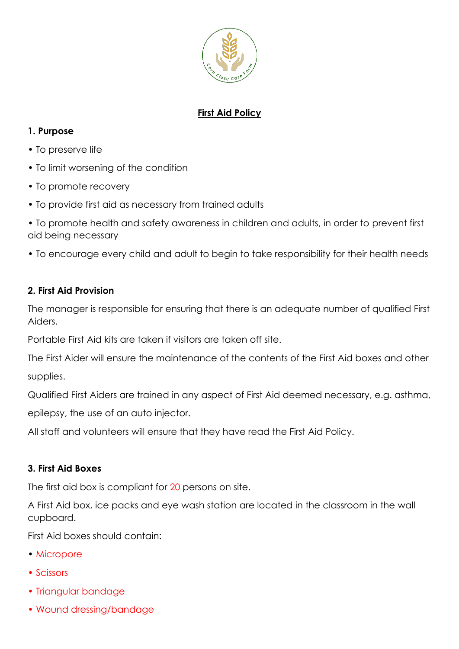

# **First Aid Policy**

### **1. Purpose**

- To preserve life
- To limit worsening of the condition
- To promote recovery
- To provide first aid as necessary from trained adults
- To promote health and safety awareness in children and adults, in order to prevent first aid being necessary
- To encourage every child and adult to begin to take responsibility for their health needs

### **2. First Aid Provision**

The manager is responsible for ensuring that there is an adequate number of qualified First Aiders.

Portable First Aid kits are taken if visitors are taken off site.

The First Aider will ensure the maintenance of the contents of the First Aid boxes and other

supplies.

Qualified First Aiders are trained in any aspect of First Aid deemed necessary, e.g. asthma,

epilepsy, the use of an auto injector.

All staff and volunteers will ensure that they have read the First Aid Policy.

#### **3. First Aid Boxes**

The first aid box is compliant for 20 persons on site.

A First Aid box, ice packs and eye wash station are located in the classroom in the wall cupboard.

First Aid boxes should contain:

- Micropore
- Scissors
- Triangular bandage
- Wound dressing/bandage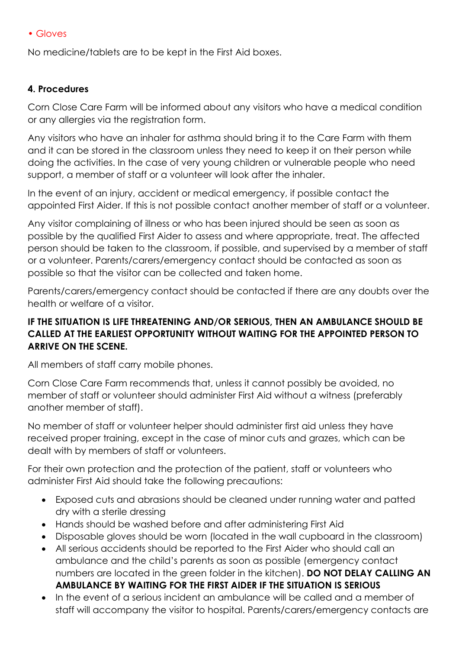#### • Gloves

No medicine/tablets are to be kept in the First Aid boxes.

#### **4. Procedures**

Corn Close Care Farm will be informed about any visitors who have a medical condition or any allergies via the registration form.

Any visitors who have an inhaler for asthma should bring it to the Care Farm with them and it can be stored in the classroom unless they need to keep it on their person while doing the activities. In the case of very young children or vulnerable people who need support, a member of staff or a volunteer will look after the inhaler.

In the event of an injury, accident or medical emergency, if possible contact the appointed First Aider. If this is not possible contact another member of staff or a volunteer.

Any visitor complaining of illness or who has been injured should be seen as soon as possible by the qualified First Aider to assess and where appropriate, treat. The affected person should be taken to the classroom, if possible, and supervised by a member of staff or a volunteer. Parents/carers/emergency contact should be contacted as soon as possible so that the visitor can be collected and taken home.

Parents/carers/emergency contact should be contacted if there are any doubts over the health or welfare of a visitor.

#### **IF THE SITUATION IS LIFE THREATENING AND/OR SERIOUS, THEN AN AMBULANCE SHOULD BE CALLED AT THE EARLIEST OPPORTUNITY WITHOUT WAITING FOR THE APPOINTED PERSON TO ARRIVE ON THE SCENE.**

All members of staff carry mobile phones.

Corn Close Care Farm recommends that, unless it cannot possibly be avoided, no member of staff or volunteer should administer First Aid without a witness (preferably another member of staff).

No member of staff or volunteer helper should administer first aid unless they have received proper training, except in the case of minor cuts and grazes, which can be dealt with by members of staff or volunteers.

For their own protection and the protection of the patient, staff or volunteers who administer First Aid should take the following precautions:

- Exposed cuts and abrasions should be cleaned under running water and patted dry with a sterile dressing
- Hands should be washed before and after administering First Aid
- Disposable gloves should be worn (located in the wall cupboard in the classroom)
- All serious accidents should be reported to the First Aider who should call an ambulance and the child's parents as soon as possible (emergency contact numbers are located in the green folder in the kitchen). **DO NOT DELAY CALLING AN AMBULANCE BY WAITING FOR THE FIRST AIDER IF THE SITUATION IS SERIOUS**
- In the event of a serious incident an ambulance will be called and a member of staff will accompany the visitor to hospital. Parents/carers/emergency contacts are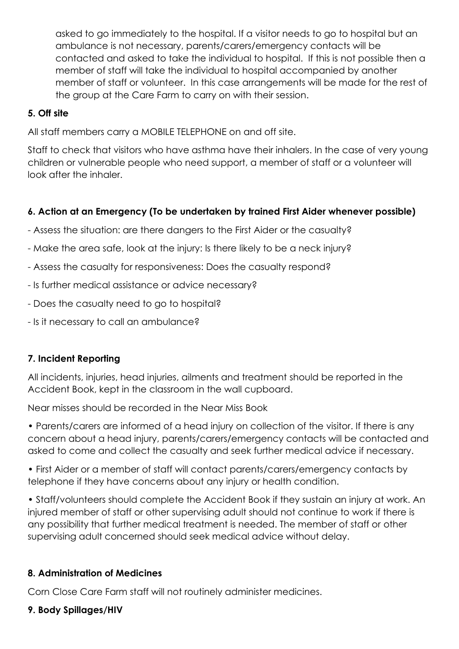asked to go immediately to the hospital. If a visitor needs to go to hospital but an ambulance is not necessary, parents/carers/emergency contacts will be contacted and asked to take the individual to hospital. If this is not possible then a member of staff will take the individual to hospital accompanied by another member of staff or volunteer. In this case arrangements will be made for the rest of the group at the Care Farm to carry on with their session.

### **5. Off site**

All staff members carry a MOBILE TELEPHONE on and off site.

Staff to check that visitors who have asthma have their inhalers. In the case of very young children or vulnerable people who need support, a member of staff or a volunteer will look after the inhaler.

# **6. Action at an Emergency (To be undertaken by trained First Aider whenever possible)**

- Assess the situation: are there dangers to the First Aider or the casualty?
- Make the area safe, look at the injury: Is there likely to be a neck injury?
- Assess the casualty for responsiveness: Does the casualty respond?
- Is further medical assistance or advice necessary?
- Does the casualty need to go to hospital?
- Is it necessary to call an ambulance?

# **7. Incident Reporting**

All incidents, injuries, head injuries, ailments and treatment should be reported in the Accident Book, kept in the classroom in the wall cupboard.

Near misses should be recorded in the Near Miss Book

• Parents/carers are informed of a head injury on collection of the visitor. If there is any concern about a head injury, parents/carers/emergency contacts will be contacted and asked to come and collect the casualty and seek further medical advice if necessary.

• First Aider or a member of staff will contact parents/carers/emergency contacts by telephone if they have concerns about any injury or health condition.

• Staff/volunteers should complete the Accident Book if they sustain an injury at work. An injured member of staff or other supervising adult should not continue to work if there is any possibility that further medical treatment is needed. The member of staff or other supervising adult concerned should seek medical advice without delay.

# **8. Administration of Medicines**

Corn Close Care Farm staff will not routinely administer medicines.

# **9. Body Spillages/HIV**